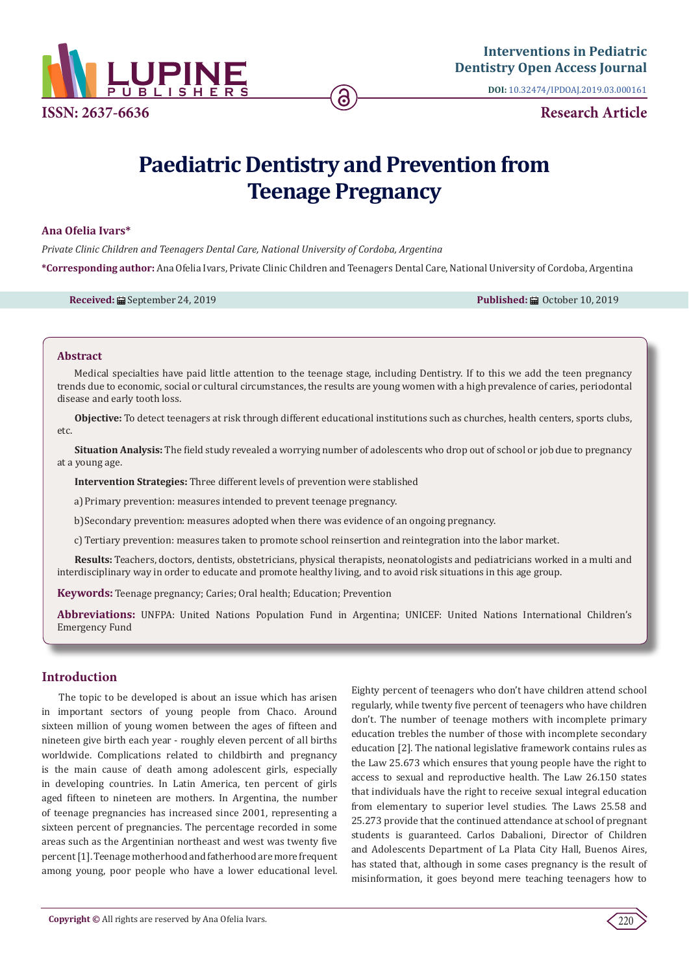

**DOI:** [10.32474/IPDOAJ.2019.03.000161](http://dx.doi.org/10.32474/IPDOAJ.2019.03.000161)

# **Paediatric Dentistry and Prevention from Teenage Pregnancy**

### **Ana Ofelia Ivars\***

*Private Clinic Children and Teenagers Dental Care, National University of Cordoba, Argentina* **\*Corresponding author:** Ana Ofelia Ivars, Private Clinic Children and Teenagers Dental Care, National University of Cordoba, Argentina

**Received:** ■ September 24, 2019 **Published:** ■ October 10, 2019 **Published:** ■ October 10, 2019

### **Abstract**

Medical specialties have paid little attention to the teenage stage, including Dentistry. If to this we add the teen pregnancy trends due to economic, social or cultural circumstances, the results are young women with a high prevalence of caries, periodontal disease and early tooth loss.

**Objective:** To detect teenagers at risk through different educational institutions such as churches, health centers, sports clubs, etc.

**Situation Analysis:** The field study revealed a worrying number of adolescents who drop out of school or job due to pregnancy at a young age.

**Intervention Strategies:** Three different levels of prevention were stablished

a)Primary prevention: measures intended to prevent teenage pregnancy.

b)Secondary prevention: measures adopted when there was evidence of an ongoing pregnancy.

c) Tertiary prevention: measures taken to promote school reinsertion and reintegration into the labor market.

**Results:** Teachers, doctors, dentists, obstetricians, physical therapists, neonatologists and pediatricians worked in a multi and interdisciplinary way in order to educate and promote healthy living, and to avoid risk situations in this age group.

**Keywords:** Teenage pregnancy; Caries; Oral health; Education; Prevention

**Abbreviations:** UNFPA: United Nations Population Fund in Argentina; UNICEF: United Nations International Children's Emergency Fund

### **Introduction**

The topic to be developed is about an issue which has arisen in important sectors of young people from Chaco. Around sixteen million of young women between the ages of fifteen and nineteen give birth each year - roughly eleven percent of all births worldwide. Complications related to childbirth and pregnancy is the main cause of death among adolescent girls, especially in developing countries. In Latin America, ten percent of girls aged fifteen to nineteen are mothers. In Argentina, the number of teenage pregnancies has increased since 2001, representing a sixteen percent of pregnancies. The percentage recorded in some areas such as the Argentinian northeast and west was twenty five percent [1]. Teenage motherhood and fatherhood are more frequent among young, poor people who have a lower educational level. Eighty percent of teenagers who don't have children attend school regularly, while twenty five percent of teenagers who have children don't. The number of teenage mothers with incomplete primary education trebles the number of those with incomplete secondary education [2]. The national legislative framework contains rules as the Law 25.673 which ensures that young people have the right to access to sexual and reproductive health. The Law 26.150 states that individuals have the right to receive sexual integral education from elementary to superior level studies. The Laws 25.58 and 25.273 provide that the continued attendance at school of pregnant students is guaranteed. Carlos Dabalioni, Director of Children and Adolescents Department of La Plata City Hall, Buenos Aires, has stated that, although in some cases pregnancy is the result of misinformation, it goes beyond mere teaching teenagers how to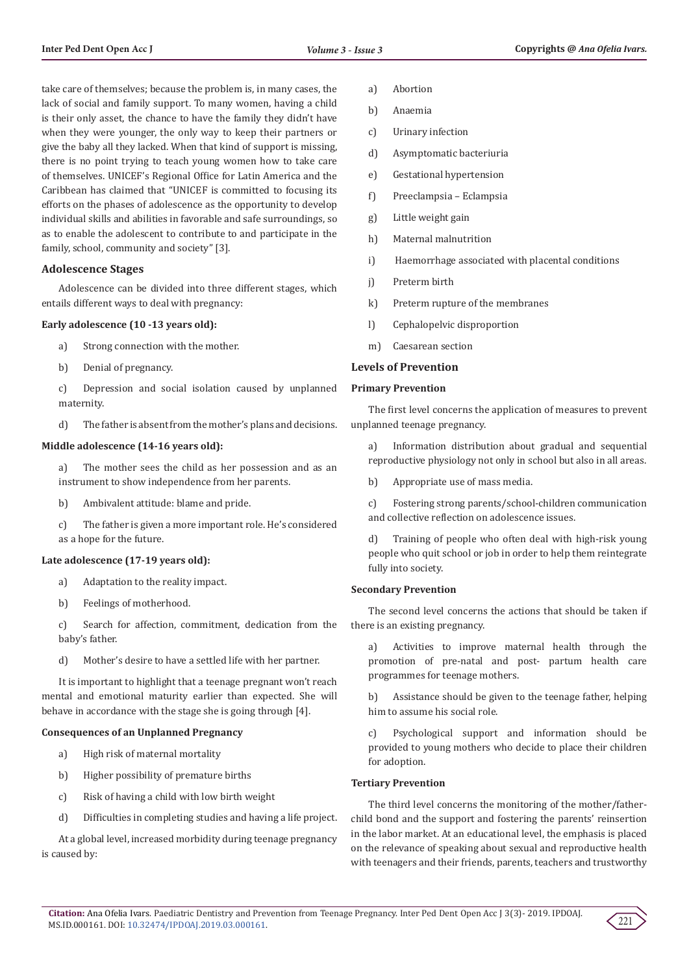take care of themselves; because the problem is, in many cases, the lack of social and family support. To many women, having a child is their only asset, the chance to have the family they didn't have when they were younger, the only way to keep their partners or give the baby all they lacked. When that kind of support is missing, there is no point trying to teach young women how to take care of themselves. UNICEF's Regional Office for Latin America and the Caribbean has claimed that "UNICEF is committed to focusing its efforts on the phases of adolescence as the opportunity to develop individual skills and abilities in favorable and safe surroundings, so as to enable the adolescent to contribute to and participate in the family, school, community and society" [3].

### **Adolescence Stages**

Adolescence can be divided into three different stages, which entails different ways to deal with pregnancy:

### **Early adolescence (10 -13 years old):**

- a) Strong connection with the mother.
- b) Denial of pregnancy.
- c) Depression and social isolation caused by unplanned maternity.
- d) The father is absent from the mother's plans and decisions.

### **Middle adolescence (14-16 years old):**

- a) The mother sees the child as her possession and as an instrument to show independence from her parents.
- b) Ambivalent attitude: blame and pride.
- c) The father is given a more important role. He's considered as a hope for the future.

#### **Late adolescence (17-19 years old):**

- a) Adaptation to the reality impact.
- b) Feelings of motherhood.

c) Search for affection, commitment, dedication from the baby's father.

d) Mother's desire to have a settled life with her partner.

It is important to highlight that a teenage pregnant won't reach mental and emotional maturity earlier than expected. She will behave in accordance with the stage she is going through [4].

### **Consequences of an Unplanned Pregnancy**

- a) High risk of maternal mortality
- b) Higher possibility of premature births
- c) Risk of having a child with low birth weight
- d) Difficulties in completing studies and having a life project.

At a global level, increased morbidity during teenage pregnancy is caused by:

- a) Abortion
- b) Anaemia
- c) Urinary infection
- d) Asymptomatic bacteriuria
- e) Gestational hypertension
- f) Preeclampsia Eclampsia
- g) Little weight gain
- h) Maternal malnutrition
- i) Haemorrhage associated with placental conditions
- j) Preterm birth
- k) Preterm rupture of the membranes
- l) Cephalopelvic disproportion
- m) Caesarean section

### **Levels of Prevention**

## **Primary Prevention**

The first level concerns the application of measures to prevent unplanned teenage pregnancy.

a) Information distribution about gradual and sequential reproductive physiology not only in school but also in all areas.

b) Appropriate use of mass media.

c) Fostering strong parents/school-children communication and collective reflection on adolescence issues.

d) Training of people who often deal with high-risk young people who quit school or job in order to help them reintegrate fully into society.

### **Secondary Prevention**

The second level concerns the actions that should be taken if there is an existing pregnancy.

a) Activities to improve maternal health through the promotion of pre-natal and post- partum health care programmes for teenage mothers.

b) Assistance should be given to the teenage father, helping him to assume his social role.

c) Psychological support and information should be provided to young mothers who decide to place their children for adoption.

### **Tertiary Prevention**

The third level concerns the monitoring of the mother/fatherchild bond and the support and fostering the parents' reinsertion in the labor market. At an educational level, the emphasis is placed on the relevance of speaking about sexual and reproductive health with teenagers and their friends, parents, teachers and trustworthy

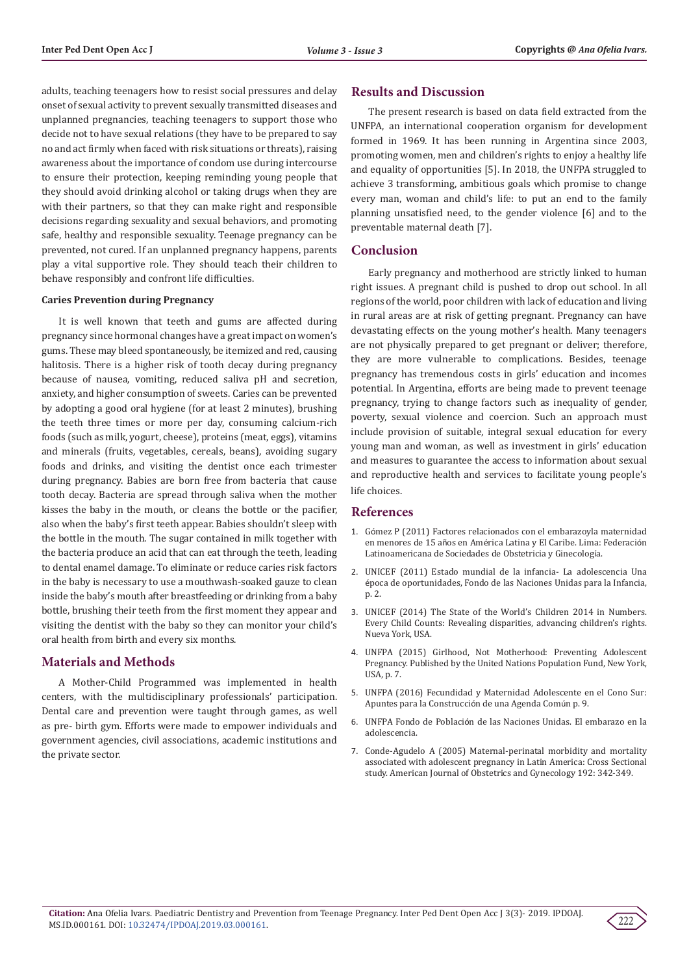adults, teaching teenagers how to resist social pressures and delay onset of sexual activity to prevent sexually transmitted diseases and unplanned pregnancies, teaching teenagers to support those who decide not to have sexual relations (they have to be prepared to say no and act firmly when faced with risk situations or threats), raising awareness about the importance of condom use during intercourse to ensure their protection, keeping reminding young people that they should avoid drinking alcohol or taking drugs when they are with their partners, so that they can make right and responsible decisions regarding sexuality and sexual behaviors, and promoting safe, healthy and responsible sexuality. Teenage pregnancy can be prevented, not cured. If an unplanned pregnancy happens, parents play a vital supportive role. They should teach their children to behave responsibly and confront life difficulties.

### **Caries Prevention during Pregnancy**

It is well known that teeth and gums are affected during pregnancy since hormonal changes have a great impact on women's gums. These may bleed spontaneously, be itemized and red, causing halitosis. There is a higher risk of tooth decay during pregnancy because of nausea, vomiting, reduced saliva pH and secretion, anxiety, and higher consumption of sweets. Caries can be prevented by adopting a good oral hygiene (for at least 2 minutes), brushing the teeth three times or more per day, consuming calcium-rich foods (such as milk, yogurt, cheese), proteins (meat, eggs), vitamins and minerals (fruits, vegetables, cereals, beans), avoiding sugary foods and drinks, and visiting the dentist once each trimester during pregnancy. Babies are born free from bacteria that cause tooth decay. Bacteria are spread through saliva when the mother kisses the baby in the mouth, or cleans the bottle or the pacifier, also when the baby's first teeth appear. Babies shouldn't sleep with the bottle in the mouth. The sugar contained in milk together with the bacteria produce an acid that can eat through the teeth, leading to dental enamel damage. To eliminate or reduce caries risk factors in the baby is necessary to use a mouthwash-soaked gauze to clean inside the baby's mouth after breastfeeding or drinking from a baby bottle, brushing their teeth from the first moment they appear and visiting the dentist with the baby so they can monitor your child's oral health from birth and every six months.

### **Materials and Methods**

A Mother-Child Programmed was implemented in health centers, with the multidisciplinary professionals' participation. Dental care and prevention were taught through games, as well as pre- birth gym. Efforts were made to empower individuals and government agencies, civil associations, academic institutions and the private sector.

### **Results and Discussion**

The present research is based on data field extracted from the UNFPA, an international cooperation organism for development formed in 1969. It has been running in Argentina since 2003, promoting women, men and children's rights to enjoy a healthy life and equality of opportunities [5]. In 2018, the UNFPA struggled to achieve 3 transforming, ambitious goals which promise to change every man, woman and child's life: to put an end to the family planning unsatisfied need, to the gender violence [6] and to the preventable maternal death [7].

### **Conclusion**

Early pregnancy and motherhood are strictly linked to human right issues. A pregnant child is pushed to drop out school. In all regions of the world, poor children with lack of education and living in rural areas are at risk of getting pregnant. Pregnancy can have devastating effects on the young mother's health. Many teenagers are not physically prepared to get pregnant or deliver; therefore, they are more vulnerable to complications. Besides, teenage pregnancy has tremendous costs in girls' education and incomes potential. In Argentina, efforts are being made to prevent teenage pregnancy, trying to change factors such as inequality of gender, poverty, sexual violence and coercion. Such an approach must include provision of suitable, integral sexual education for every young man and woman, as well as investment in girls' education and measures to guarantee the access to information about sexual and reproductive health and services to facilitate young people's life choices.

### **References**

- 1. Gó[mez P \(2011\) Factores relacionados con el embarazoyla maternidad](https://www.sguruguay.org/documentos/6factores-relacionados-maternidad-menores-15-anos-lac.pdf) en menores de 15 años en Amé[rica Latina y El Caribe. Lima: Federaci](https://www.sguruguay.org/documentos/6factores-relacionados-maternidad-menores-15-anos-lac.pdf)ón [Latinoamericana de Sociedades de Obstetricia y Ginecolog](https://www.sguruguay.org/documentos/6factores-relacionados-maternidad-menores-15-anos-lac.pdf)ía.
- 2. [UNICEF \(2011\) Estado mundial de la infancia- La adolescencia Una](https://www.unicef.org/bolivia/UNICEF_-_Estado_Mundial_de_la_Infancia_2011_-_La_adolescencia_una_epoca_de_oportunidades.pdf) é[poca de oportunidades, Fondo de las Naciones Unidas para la Infancia,](https://www.unicef.org/bolivia/UNICEF_-_Estado_Mundial_de_la_Infancia_2011_-_La_adolescencia_una_epoca_de_oportunidades.pdf) [p. 2.](https://www.unicef.org/bolivia/UNICEF_-_Estado_Mundial_de_la_Infancia_2011_-_La_adolescencia_una_epoca_de_oportunidades.pdf)
- 3. [UNICEF \(2014\) The State of the World's Children 2014 in Numbers.](https://reliefweb.int/report/world/state-world-s-children-2014-numbers-every-child-counts-revealing-disparities-advancing) [Every Child Counts: Revealing disparities, advancing children's rights.](https://reliefweb.int/report/world/state-world-s-children-2014-numbers-every-child-counts-revealing-disparities-advancing) [Nueva York, USA.](https://reliefweb.int/report/world/state-world-s-children-2014-numbers-every-child-counts-revealing-disparities-advancing)
- 4. [UNFPA \(2015\) Girlhood, Not Motherhood: Preventing Adolescent](https://www.unfpa.org/sites/default/files/pub-pdf/Girlhood_not_motherhood_final_web.pdf) [Pregnancy. Published by the United Nations Population Fund, New York,](https://www.unfpa.org/sites/default/files/pub-pdf/Girlhood_not_motherhood_final_web.pdf) [USA, p. 7.](https://www.unfpa.org/sites/default/files/pub-pdf/Girlhood_not_motherhood_final_web.pdf)
- 5. [UNFPA \(2016\) Fecundidad y Maternidad Adolescente en el Cono Sur:](http://salutsexual.sidastudi.org/es/registro/a53b7fb35a776666015ca250bb720bea) [Apuntes para la Construcci](http://salutsexual.sidastudi.org/es/registro/a53b7fb35a776666015ca250bb720bea)ón de una Agenda Común p. 9.
- 6. UNFPA Fondo de Població[n de las Naciones Unidas. El embarazo en la](http://www.unfpa.org.ar/sitio/index.php?option=com_content&view=article&id=190.) [adolescencia.](http://www.unfpa.org.ar/sitio/index.php?option=com_content&view=article&id=190.)
- 7. [Conde-Agudelo A \(2005\) Maternal-perinatal morbidity and mortality](https://www.ncbi.nlm.nih.gov/pubmed/15695970) [associated with adolescent pregnancy in Latin America: Cross Sectional](https://www.ncbi.nlm.nih.gov/pubmed/15695970) [study. American Journal of Obstetrics and Gynecology 192: 342-349.](https://www.ncbi.nlm.nih.gov/pubmed/15695970)